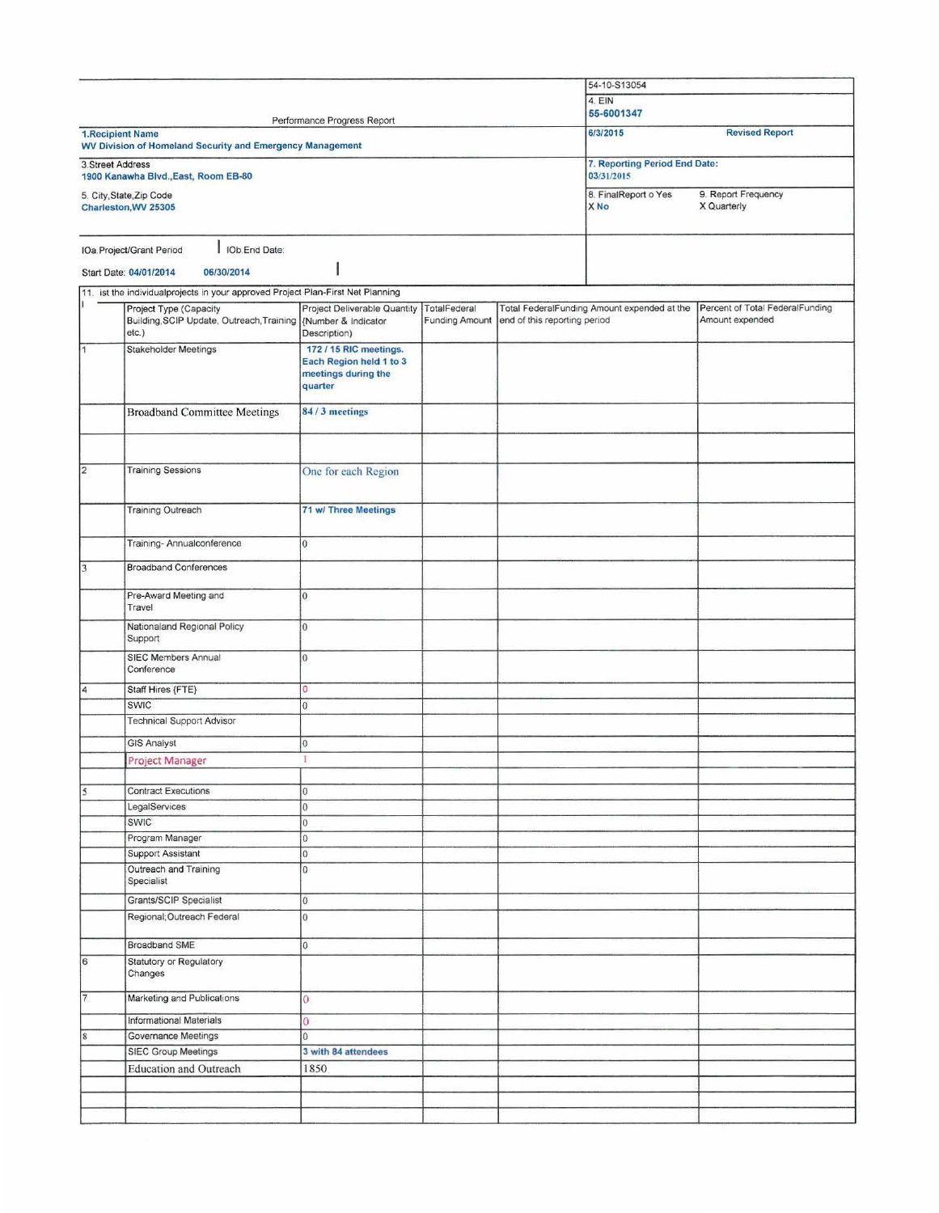|                         |                                                                                                           |                                                                                     |                       |                              | 54-10-S13054                                |                                    |
|-------------------------|-----------------------------------------------------------------------------------------------------------|-------------------------------------------------------------------------------------|-----------------------|------------------------------|---------------------------------------------|------------------------------------|
|                         |                                                                                                           | 4. EIN<br>55-6001347                                                                |                       |                              |                                             |                                    |
| <b>1.Recipient Name</b> | WV Division of Homeland Security and Emergency Management                                                 | Performance Progress Report                                                         |                       |                              | 6/3/2015                                    | <b>Revised Report</b>              |
| 3. Street Address       | 1900 Kanawha Blvd., East, Room EB-80                                                                      |                                                                                     |                       |                              | 7. Reporting Period End Date:<br>03/31/2015 |                                    |
|                         | 5. City, State, Zip Code<br>Charleston, WV 25305                                                          |                                                                                     |                       |                              | 8. FinalReport o Yes<br>X No                | 9. Report Frequency<br>X Quarterly |
|                         | I IOb End Date:<br>IOa.Project/Grant Period                                                               |                                                                                     |                       |                              |                                             |                                    |
|                         |                                                                                                           |                                                                                     |                       |                              |                                             |                                    |
|                         | 06/30/2014<br>Start Date: 04/01/2014                                                                      |                                                                                     |                       |                              |                                             |                                    |
|                         | 11. ist the individualprojects in your approved Project Plan-First Net Planning<br>Project Type (Capacity | Project Deliverable Quantity                                                        | TotalFederal          |                              | Total FederalFunding Amount expended at the | Percent of Total FederalFunding    |
|                         | Building, SCIP Update, Outreach, Training<br>etc.)                                                        | {Number & Indicator<br>Description)                                                 | <b>Funding Amount</b> | end of this reporting period |                                             | Amount expended                    |
| 1                       | <b>Stakeholder Meetings</b>                                                                               | 172 / 15 RIC meetings.<br>Each Region held 1 to 3<br>meetings during the<br>quarter |                       |                              |                                             |                                    |
|                         | <b>Broadband Committee Meetings</b>                                                                       | 84/3 meetings                                                                       |                       |                              |                                             |                                    |
|                         |                                                                                                           |                                                                                     |                       |                              |                                             |                                    |
| $\overline{\mathbf{c}}$ | <b>Training Sessions</b>                                                                                  | One for each Region                                                                 |                       |                              |                                             |                                    |
|                         | <b>Training Outreach</b>                                                                                  | <b>71 w/ Three Meetings</b>                                                         |                       |                              |                                             |                                    |
|                         | Training- Annualconference                                                                                | $\overline{0}$                                                                      |                       |                              |                                             |                                    |
| 3                       | <b>Broadband Conferences</b>                                                                              |                                                                                     |                       |                              |                                             |                                    |
|                         | Pre-Award Meeting and<br>Travel                                                                           | $\overline{0}$                                                                      |                       |                              |                                             |                                    |
|                         | Nationaland Regional Policy<br>Support                                                                    | 0                                                                                   |                       |                              |                                             |                                    |
|                         | <b>SIEC Members Annual</b><br>Conference                                                                  | $\overline{0}$                                                                      |                       |                              |                                             |                                    |
| $\overline{4}$          | Staff Hires {FTE}                                                                                         | $\circ$                                                                             |                       |                              |                                             |                                    |
|                         | SWIC                                                                                                      | $\overline{0}$                                                                      |                       |                              |                                             |                                    |
|                         | <b>Technical Support Advisor</b>                                                                          |                                                                                     |                       |                              |                                             |                                    |
|                         | <b>GIS Analyst</b>                                                                                        | $\overline{0}$                                                                      |                       |                              |                                             |                                    |
|                         | Project Manager                                                                                           |                                                                                     |                       |                              |                                             |                                    |
|                         |                                                                                                           |                                                                                     |                       |                              |                                             |                                    |
| $\overline{5}$          | <b>Contract Executions</b>                                                                                | 0                                                                                   |                       |                              |                                             |                                    |
|                         | LegalServices<br>SWIC                                                                                     | $\vert$ 0<br>0                                                                      |                       |                              |                                             |                                    |
|                         | Program Manager                                                                                           | 0                                                                                   |                       |                              |                                             |                                    |
|                         | Support Assistant                                                                                         | 0                                                                                   |                       |                              |                                             |                                    |
|                         | Outreach and Training<br>Specialist                                                                       | 0                                                                                   |                       |                              |                                             |                                    |
|                         | Grants/SCIP Specialist                                                                                    | $\vert$ 0                                                                           |                       |                              |                                             |                                    |
|                         | Regional; Outreach Federal                                                                                | $\vert 0 \vert$                                                                     |                       |                              |                                             |                                    |
|                         | Broadband SME                                                                                             | $\overline{0}$                                                                      |                       |                              |                                             |                                    |
| $\overline{6}$          | Statutory or Regulatory<br>Changes                                                                        |                                                                                     |                       |                              |                                             |                                    |
| $\overline{7}$          | Marketing and Publications                                                                                | $\overline{0}$                                                                      |                       |                              |                                             |                                    |
|                         | <b>Informational Materials</b>                                                                            | $\overline{0}$                                                                      |                       |                              |                                             |                                    |
| $\overline{\mathbf{8}}$ | Governance Meetings                                                                                       | l0                                                                                  |                       |                              |                                             |                                    |
|                         | <b>SIEC Group Meetings</b>                                                                                | 3 with 84 attendees                                                                 |                       |                              |                                             |                                    |
|                         | <b>Education and Outreach</b>                                                                             | 1850                                                                                |                       |                              |                                             |                                    |
|                         |                                                                                                           |                                                                                     |                       |                              |                                             |                                    |
|                         |                                                                                                           |                                                                                     |                       |                              |                                             |                                    |
|                         |                                                                                                           |                                                                                     |                       |                              |                                             |                                    |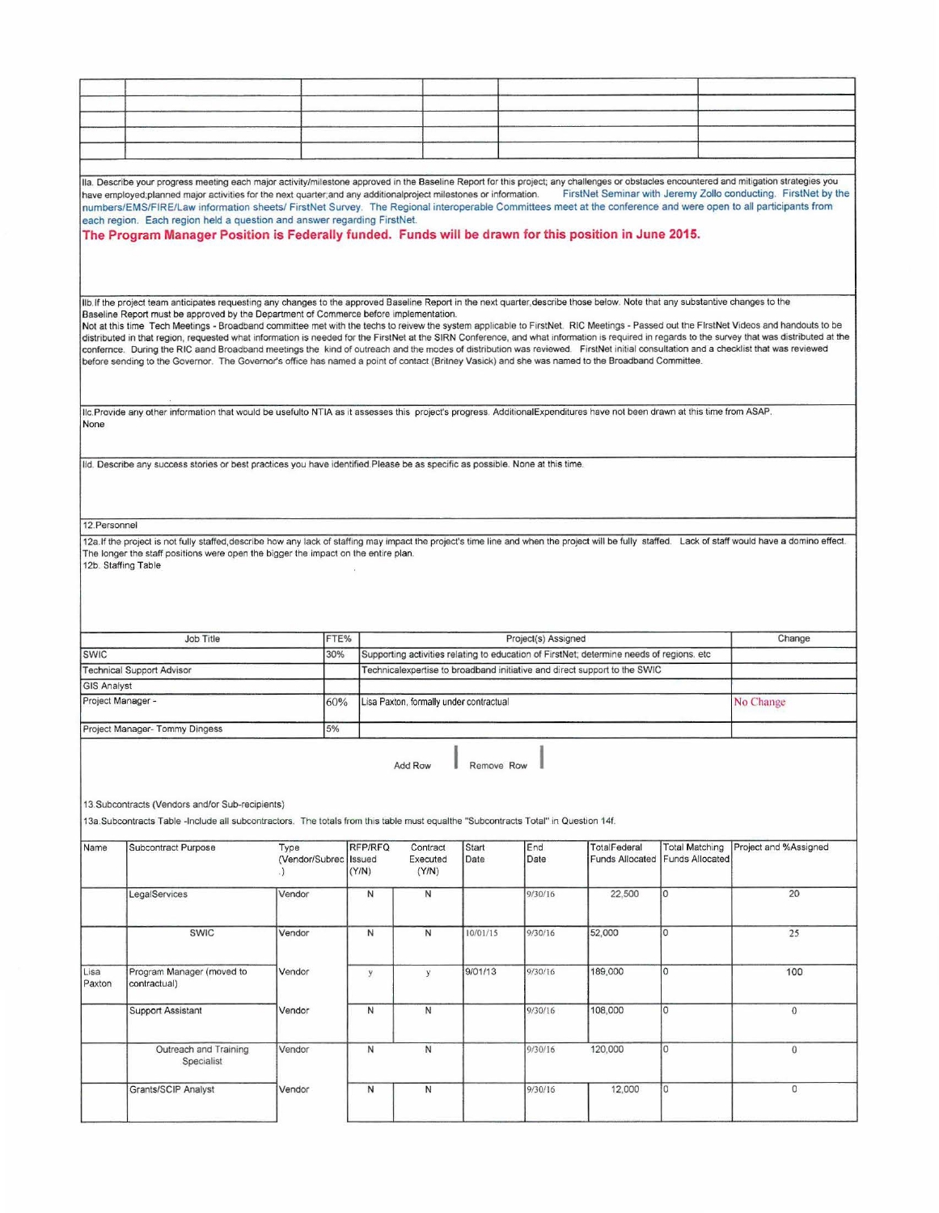|                     | lla. Describe your progress meeting each major activity/milestone approved in the Baseline Report for this project; any challenges or obstacles encountered and mitigation strategies you<br>have employed;planned major activities for the next quarter;and any additionalproject milestones or information.<br>numbers/EMS/FIRE/Law information sheets/ FirstNet Survey. The Regional interoperable Committees meet at the conference and were open to all participants from<br>each region. Each region held a question and answer regarding FirstNet.<br>The Program Manager Position is Federally funded. Funds will be drawn for this position in June 2015.                                                                                                                                                                                                                                                                                                                                            |                              |      |                            |                                         |               |                     |                                                                                          |                                          | FirstNet Seminar with Jeremy Zollo conducting. FirstNet by the |
|---------------------|---------------------------------------------------------------------------------------------------------------------------------------------------------------------------------------------------------------------------------------------------------------------------------------------------------------------------------------------------------------------------------------------------------------------------------------------------------------------------------------------------------------------------------------------------------------------------------------------------------------------------------------------------------------------------------------------------------------------------------------------------------------------------------------------------------------------------------------------------------------------------------------------------------------------------------------------------------------------------------------------------------------|------------------------------|------|----------------------------|-----------------------------------------|---------------|---------------------|------------------------------------------------------------------------------------------|------------------------------------------|----------------------------------------------------------------|
|                     |                                                                                                                                                                                                                                                                                                                                                                                                                                                                                                                                                                                                                                                                                                                                                                                                                                                                                                                                                                                                               |                              |      |                            |                                         |               |                     |                                                                                          |                                          |                                                                |
|                     | IIb If the project team anticipates requesting any changes to the approved Baseline Report in the next quarter describe those below. Note that any substantive changes to the<br>Baseline Report must be approved by the Department of Commerce before implementation.<br>Not at this time Tech Meetings - Broadband committee met with the techs to reivew the system applicable to FirstNet. RIC Meetings - Passed out the FIrstNet Videos and handouts to be<br>distributed in that region, requested what information is needed for the FirstNet at the SIRN Conference, and what information is required in regards to the survey that was distributed at the<br>confernce. During the RIC aand Broadband meetings the kind of outreach and the modes of distribution was reviewed. FirstNet initial consultation and a checklist that was reviewed<br>before sending to the Governor. The Governor's office has named a point of contact (Britney Vasick) and she was named to the Broadband Committee. |                              |      |                            |                                         |               |                     |                                                                                          |                                          |                                                                |
|                     | Ilc. Provide any other information that would be usefulto NTIA as it assesses this project's progress. AdditionalExpenditures have not been drawn at this time from ASAP.                                                                                                                                                                                                                                                                                                                                                                                                                                                                                                                                                                                                                                                                                                                                                                                                                                     |                              |      |                            |                                         |               |                     |                                                                                          |                                          |                                                                |
| None                |                                                                                                                                                                                                                                                                                                                                                                                                                                                                                                                                                                                                                                                                                                                                                                                                                                                                                                                                                                                                               |                              |      |                            |                                         |               |                     |                                                                                          |                                          |                                                                |
|                     |                                                                                                                                                                                                                                                                                                                                                                                                                                                                                                                                                                                                                                                                                                                                                                                                                                                                                                                                                                                                               |                              |      |                            |                                         |               |                     |                                                                                          |                                          |                                                                |
|                     | Ild. Describe any success stories or best practices you have identified Please be as specific as possible. None at this time.                                                                                                                                                                                                                                                                                                                                                                                                                                                                                                                                                                                                                                                                                                                                                                                                                                                                                 |                              |      |                            |                                         |               |                     |                                                                                          |                                          |                                                                |
|                     |                                                                                                                                                                                                                                                                                                                                                                                                                                                                                                                                                                                                                                                                                                                                                                                                                                                                                                                                                                                                               |                              |      |                            |                                         |               |                     |                                                                                          |                                          |                                                                |
| 12. Personnel       | 12a.If the project is not fully staffed describe how any lack of staffing may impact the project's time line and when the project will be fully staffed. Lack of staff would have a domino effect.                                                                                                                                                                                                                                                                                                                                                                                                                                                                                                                                                                                                                                                                                                                                                                                                            |                              |      |                            |                                         |               |                     |                                                                                          |                                          |                                                                |
| 12b. Staffing Table | The longer the staff positions were open the bigger the impact on the entire plan.                                                                                                                                                                                                                                                                                                                                                                                                                                                                                                                                                                                                                                                                                                                                                                                                                                                                                                                            |                              |      |                            |                                         |               |                     |                                                                                          |                                          |                                                                |
|                     | <b>Job Title</b>                                                                                                                                                                                                                                                                                                                                                                                                                                                                                                                                                                                                                                                                                                                                                                                                                                                                                                                                                                                              |                              | FTE% |                            |                                         |               | Project(s) Assigned |                                                                                          |                                          | Change                                                         |
| <b>SWIC</b>         |                                                                                                                                                                                                                                                                                                                                                                                                                                                                                                                                                                                                                                                                                                                                                                                                                                                                                                                                                                                                               |                              | 30%  |                            |                                         |               |                     | Supporting activities relating to education of FirstNet; determine needs of regions. etc |                                          |                                                                |
|                     | <b>Technical Support Advisor</b>                                                                                                                                                                                                                                                                                                                                                                                                                                                                                                                                                                                                                                                                                                                                                                                                                                                                                                                                                                              |                              |      |                            |                                         |               |                     | Technicalexpertise to broadband initiative and direct support to the SWIC                |                                          |                                                                |
| <b>GIS Analyst</b>  |                                                                                                                                                                                                                                                                                                                                                                                                                                                                                                                                                                                                                                                                                                                                                                                                                                                                                                                                                                                                               |                              |      |                            |                                         |               |                     |                                                                                          |                                          |                                                                |
| Project Manager -   |                                                                                                                                                                                                                                                                                                                                                                                                                                                                                                                                                                                                                                                                                                                                                                                                                                                                                                                                                                                                               |                              | 60%  |                            | Lisa Paxton, formally under contractual |               |                     |                                                                                          |                                          | No Change                                                      |
|                     |                                                                                                                                                                                                                                                                                                                                                                                                                                                                                                                                                                                                                                                                                                                                                                                                                                                                                                                                                                                                               |                              |      |                            |                                         |               |                     |                                                                                          |                                          |                                                                |
|                     | Project Manager- Tommy Dingess                                                                                                                                                                                                                                                                                                                                                                                                                                                                                                                                                                                                                                                                                                                                                                                                                                                                                                                                                                                |                              | 5%   |                            |                                         |               |                     |                                                                                          |                                          |                                                                |
|                     | 13. Subcontracts (Vendors and/or Sub-recipients)<br>13a. Subcontracts Table -Include all subcontractors. The totals from this table must equalthe "Subcontracts Total" in Question 14f.                                                                                                                                                                                                                                                                                                                                                                                                                                                                                                                                                                                                                                                                                                                                                                                                                       |                              |      |                            | Add Row                                 | Remove Row    |                     |                                                                                          |                                          |                                                                |
|                     |                                                                                                                                                                                                                                                                                                                                                                                                                                                                                                                                                                                                                                                                                                                                                                                                                                                                                                                                                                                                               |                              |      |                            |                                         |               |                     |                                                                                          |                                          |                                                                |
| Name                | Subcontract Purpose                                                                                                                                                                                                                                                                                                                                                                                                                                                                                                                                                                                                                                                                                                                                                                                                                                                                                                                                                                                           | Type<br>(Vendor/Subrec<br>.) |      | RFP/RFQ<br>Issued<br>(Y/N) | Contract<br>Executed<br>(Y/N)           | Start<br>Date | End<br>Date         | TotalFederal<br><b>Funds Allocated</b>                                                   | <b>Total Matching</b><br>Funds Allocated | Project and %Assigned                                          |
|                     | LegalServices                                                                                                                                                                                                                                                                                                                                                                                                                                                                                                                                                                                                                                                                                                                                                                                                                                                                                                                                                                                                 | Vendor                       |      | $\mathsf{N}$               | N                                       |               | 9/30/16             | 22,500                                                                                   | $\circ$                                  | 20                                                             |
|                     | SWIC                                                                                                                                                                                                                                                                                                                                                                                                                                                                                                                                                                                                                                                                                                                                                                                                                                                                                                                                                                                                          | Vendor                       |      | $\mathsf{N}$               | $\mathsf{N}$                            | 10/01/15      | 9/30/16             | 52,000                                                                                   | O                                        | 25                                                             |
| Lisa<br>Paxton      | Program Manager (moved to<br>contractual)                                                                                                                                                                                                                                                                                                                                                                                                                                                                                                                                                                                                                                                                                                                                                                                                                                                                                                                                                                     | Vendor                       |      | y                          | $\mathbf{y}$                            | 9/01/13       | 9/30/16             | 189,000                                                                                  | $\circ$                                  | 100                                                            |
|                     | <b>Support Assistant</b>                                                                                                                                                                                                                                                                                                                                                                                                                                                                                                                                                                                                                                                                                                                                                                                                                                                                                                                                                                                      | Vendor                       |      | N                          | N                                       |               | 9/30/16             | 108,000                                                                                  | $\circ$                                  | $\mathbf{0}$                                                   |
|                     | Outreach and Training<br>Specialist                                                                                                                                                                                                                                                                                                                                                                                                                                                                                                                                                                                                                                                                                                                                                                                                                                                                                                                                                                           | Vendor                       |      | $\mathsf{N}$               | $\mathsf{N}$                            |               | 9/30/16             | 120,000                                                                                  | $\circ$                                  | $\overline{0}$                                                 |
|                     | Grants/SCIP Analyst                                                                                                                                                                                                                                                                                                                                                                                                                                                                                                                                                                                                                                                                                                                                                                                                                                                                                                                                                                                           | Vendor                       |      | N                          | $\mathsf{N}$                            |               | 9/30/16             | 12,000                                                                                   | O                                        | 0                                                              |